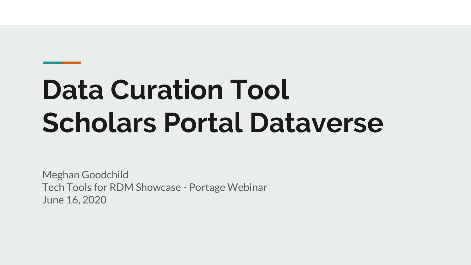# **Data Curation Tool Scholars Portal Dataverse**

Meghan Goodchild Tech Tools for RDM Showcase - Portage Webinar June 16, 2020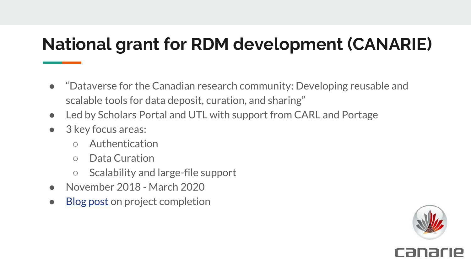# **National grant for RDM development (CANARIE)**

- "Dataverse for the Canadian research community: Developing reusable and scalable tools for data deposit, curation, and sharing"
- Led by Scholars Portal and UTL with support from CARL and Portage
- 3 key focus areas:
	- Authentication
	- Data Curation
	- Scalability and large-file support
- November 2018 March 2020
- **[Blog post](https://spotdocs.scholarsportal.info/display/DAT/2020/05/14/CANARIE+project+completion%3A+Dataverse+for+the+Canadian+Research+Community) on project completion**



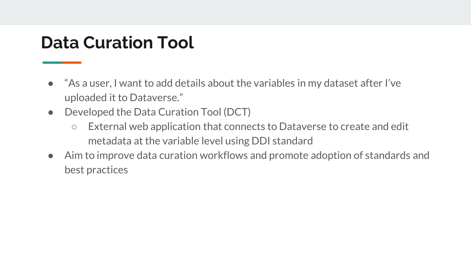# **Data Curation Tool**

- "As a user, I want to add details about the variables in my dataset after I've uploaded it to Dataverse."
- Developed the Data Curation Tool (DCT)
	- External web application that connects to Dataverse to create and edit metadata at the variable level using DDI standard
- Aim to improve data curation workflows and promote adoption of standards and best practices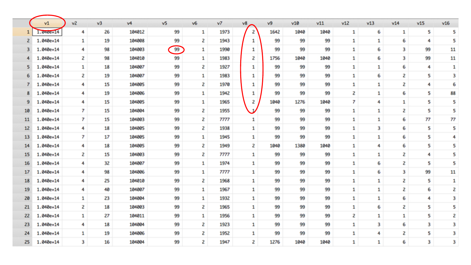|                         | v1        | v2 | v3 | v4     | v <sub>5</sub> | v6 | v7   | v8           | v9   | v10  | v11  | v12 | v13 | v14 | v15 | v16 |
|-------------------------|-----------|----|----|--------|----------------|----|------|--------------|------|------|------|-----|-----|-----|-----|-----|
|                         | 1.040e+14 | 4  | 26 | 104012 | 99             | 1  | 1973 | 2            | 1642 | 1040 | 1040 | 1   | 6   | 1   | 5   | 5   |
| $\overline{\mathbf{z}}$ | 1.040e+14 | 1  | 19 | 104008 | 99             | z  | 1943 | 1            | 99   | 99   | 99   | 1   | 1   | 6   | 4   | 5   |
| 3                       | 1.040e+14 | 4  | 98 | 104003 | 99             | 1  | 1990 | 1            | 99   | 99   | 99   | 1   | 6   | 3   | 99  | 11  |
| 4                       | 1.040e+14 | 2  | 98 | 104010 | 99             | 1  | 1983 | 2            | 1756 | 1040 | 1040 | 1   | 6   | 3   | 99  | 11  |
| 5                       | 1.040e+14 | 1  | 18 | 104007 | 99             | 2  | 1927 | 1            | 99   | 99   | 99   | 1   | 1   | 6   | 4   | 1   |
| 6                       | 1.040e+14 | 2  | 19 | 104007 | 99             | 1  | 1983 | 1            | 99   | 99   | 99   | 1   | 6   | 2   | 5   | 3   |
|                         | 1.040e+14 | 4  | 15 | 104005 | 99             | z  | 1970 | 1            | 99   | 99   | 99   | 1   | 1   | 2   | 4   | 6   |
| 8                       | 1.040e+14 | 4  | 19 | 104006 | 99             | 1  | 1942 | 1            | 99   | 99   | 99   | 2   | 1   | 6   | 5   | 88  |
| 9                       | 1.040e+14 | 4  | 15 | 104005 | 99             | 1  | 1965 | 2            | 1040 | 1276 | 1040 | 7   | 4   | 1   | 5   | 5   |
| 10                      | 1.040e+14 | 7. | 15 | 104004 | 99             | 2  | 1955 | $\mathbf{v}$ | 99   | 99   | 99   | 1   | 1   | 2   | 5   | 5   |
| 11                      | 1.040e+14 | 7  | 15 | 104003 | 99             | 2  | 7777 | 1            | 99   | 99   | 99   | 1   | 1   | 6   | 77  | 77  |
| 12                      | 1.040e+14 | 4  | 18 | 104005 | 99             | 2  | 1938 | 1            | 99   | 99   | 99   | 1   | 3   | 6   | 5   | 5   |
| 13                      | 1.040e+14 | 7. | 17 | 104005 | 99             | 1  | 1945 | 1            | 99   | 99   | 99   | 1   | 1   | 6   | 5   | 4   |
| 14                      | 1.040e+14 | 4. | 18 | 104005 | 99             | 2  | 1949 | 2            | 1040 | 1380 | 1040 | 1   | 4   | 6   | 5   | 5   |
| 15                      | 1.040e+14 | 2  | 15 | 104003 | 99             | 2  | 7777 | 1            | 99   | 99   | 99   | 1   | 1   | 2   | 4   | 5   |
| 16                      | 1.040e+14 | 4  | 32 | 104007 | 99             | 1  | 1974 | 1            | 99   | 99   | 99   | 1   | 6   | 2   | 5   | s   |
| 17                      | 1.040e+14 | 4  | 98 | 104006 | 99             | 1  | 7777 | 1            | 99   | 99   | 99   | 1   | 6   | 3   | 99  | 11  |
| 18                      | 1.040e+14 | 4  | 25 | 104010 | 99             | 2  | 1968 | 1            | 99   | 99   | 99   | 1   | 1   | 2   | 5   | 1   |
| 19                      | 1.040e+14 | 4  | 40 | 104007 | 99             | 1  | 1967 | 1            | 99   | 99   | 99   | 1   | 1   | 2   | 6   | 2   |
| 20                      | 1.040e+14 | 1  | 23 | 104004 | 99             | 1  | 1932 | 1            | 99   | 99   | 99   | 1   | 1   | 6   | 4   | 3   |
| 21                      | 1.040e+14 | 2  | 18 | 104003 | 99             | 2  | 1965 | 1            | 99   | 99   | 99   | 1   | 6   | 2   | 5   | 5   |
| 22                      | 1.040e+14 | 1  | 27 | 104011 | 99             | 1  | 1956 | 1            | 99   | 99   | 99   | 2   | 1   | 1   | 5   | 2   |
| 23                      | 1.040e+14 | 4  | 18 | 104004 | 99             | z  | 1923 | 1            | 99   | 99   | 99   | 1   | 3   | 6   | 3   | 3   |
| 24                      | 1.040e+14 | 1  | 19 | 104006 | 99             | z  | 1952 | 1            | 99   | 99   | 99   | 1   | 4   | 2   | 5   | 3   |
| 25                      | 1.040e+14 | з  | 16 | 104004 | 99             | 2  | 1947 | 2            | 1276 | 1040 | 1040 | 1   | 1   | 6   | 3   | 3   |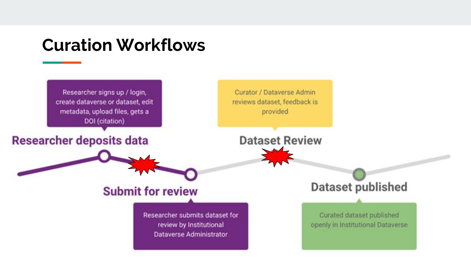### **Curation Workflows**

Researcher signs up / login, create dataverse or dataset, edit metadata, upload files, gets a DOI (citation)

**Researcher deposits data** 

Curator / Dataverse Admin reviews dataset, feedback is provided

**Dataset Review** 

### **Submit for review**

Researcher submits dataset for review by Institutional **Dataverse Administrator** 

**Dataset published** 

Curated dataset published openly in Institutional Dataverse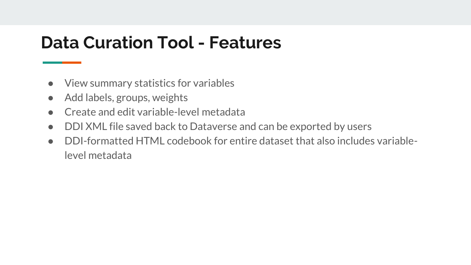# **Data Curation Tool - Features**

- View summary statistics for variables
- Add labels, groups, weights
- Create and edit variable-level metadata
- DDI XML file saved back to Dataverse and can be exported by users
- DDI-formatted HTML codebook for entire dataset that also includes variablelevel metadata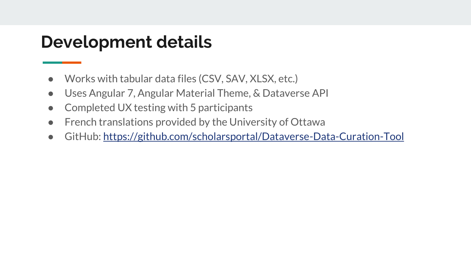## **Development details**

- Works with tabular data files (CSV, SAV, XLSX, etc.)
- Uses Angular 7, Angular Material Theme, & Dataverse API
- Completed UX testing with 5 participants
- French translations provided by the University of Ottawa
- GitHub: <https://github.com/scholarsportal/Dataverse-Data-Curation-Tool>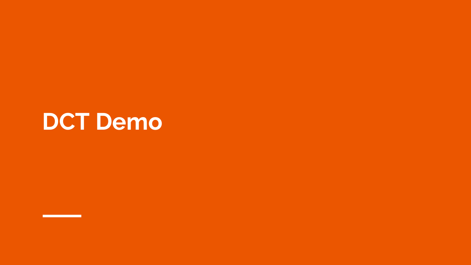# **DCT Demo**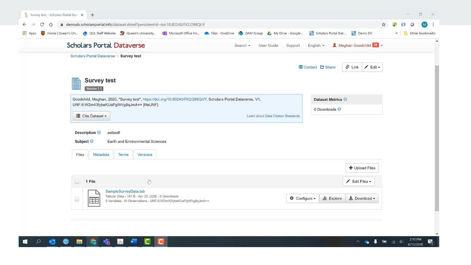| <b>H</b> Apps | Home   Queen's Un e QUL Staff Website   Queen's University [3] Microsoft Office Ho . Files - OneDrive   DAM Group & My Drive - Google                 |                                      | Scholars Portal Dat . Demo DV                                | Other bookmarks<br>$22 - 1$ |
|---------------|-------------------------------------------------------------------------------------------------------------------------------------------------------|--------------------------------------|--------------------------------------------------------------|-----------------------------|
|               | <b>Scholars Portal Dataverse</b>                                                                                                                      | User Guide<br>Search *<br>Support    | $\bigotimes$ Meghan Goodchild $\bigotimes$<br>English $\sim$ |                             |
|               | Scholars Portal Dataverse > Survey test                                                                                                               |                                      | S Link / Edit -<br>Contact C Share                           |                             |
|               | <b>Survey test</b><br>P<br>Version 1.1<br>Goodchild, Meghan, 2020, "Survey test", https://doi.org/10.80240/FK2/288QUY, Scholars Portal Dataverse, V1, |                                      | Dataset Metrics                                              |                             |
|               | UNF:6:W2m43fybeKUaPgWVg8qJmA== [fileUNF]<br>E Cite Dataset -                                                                                          | Learn about Data Citation Standards. | 0 Downloads                                                  |                             |
|               | Description <sup>@</sup><br>asfasdf<br>Subject <sup>O</sup><br>Earth and Environmental Sciences                                                       |                                      |                                                              |                             |
|               | Files<br>Terms<br>Versions<br>Metadata                                                                                                                |                                      | + Upload Files                                               |                             |
|               | $\begin{array}{c} \circ \\ \circ \circ \end{array}$<br>모<br>1 File                                                                                    |                                      | Edit Files -                                                 |                             |
|               | SampleSurveyData.tab<br>Tabular Data - 101 B - Apr 22, 2020 - 0 Downloads<br>o<br>m                                                                   | <b><math>\Phi</math></b> Configure ▼ | $\bigstar$ Download $\star$<br><b>Explore</b>                |                             |



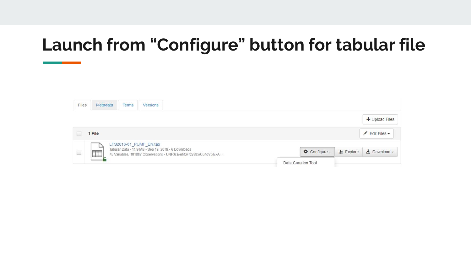# **Launch from "Configure" button for tabular file**

| Files                                                                                                                                                                                                                                                                                                                                               | Metadata | Terms | Versions                                                                      |                                                                    |  |                    |                         |                                                |
|-----------------------------------------------------------------------------------------------------------------------------------------------------------------------------------------------------------------------------------------------------------------------------------------------------------------------------------------------------|----------|-------|-------------------------------------------------------------------------------|--------------------------------------------------------------------|--|--------------------|-------------------------|------------------------------------------------|
|                                                                                                                                                                                                                                                                                                                                                     |          |       |                                                                               |                                                                    |  |                    |                         | + Upload Files                                 |
|                                                                                                                                                                                                                                                                                                                                                     | 1 File   |       |                                                                               |                                                                    |  |                    |                         | $E$ dit Files $\sim$                           |
| $\begin{picture}(20,20) \put(0,0){\line(1,0){10}} \put(15,0){\line(1,0){10}} \put(15,0){\line(1,0){10}} \put(15,0){\line(1,0){10}} \put(15,0){\line(1,0){10}} \put(15,0){\line(1,0){10}} \put(15,0){\line(1,0){10}} \put(15,0){\line(1,0){10}} \put(15,0){\line(1,0){10}} \put(15,0){\line(1,0){10}} \put(15,0){\line(1,0){10}} \put(15,0){\line(1$ | E        |       | LFS2016-01_PUMF_EN.tab<br>Tabular Data - 11.9 MB - Sep 19, 2019 - 6 Downloads | 75 Variables, 101887 Observations - UNF:6:EerkQFr2ySzwCu4oV5jExA== |  |                    | $\Phi$ Configure $\sim$ | $\frac{1}{2}$ Explore $\frac{1}{2}$ Download - |
|                                                                                                                                                                                                                                                                                                                                                     |          |       |                                                                               |                                                                    |  | Data Curation Tool |                         |                                                |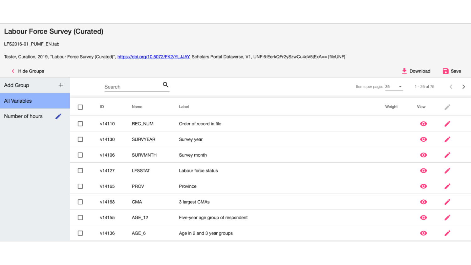#### Labour Force Survey (Curated)

LFS2016-01\_PUMF\_EN.tab

Tester, Curation, 2019, "Labour Force Survey (Curated)", https://doi.org/10.5072/FK2/YLJJAY, Scholars Portal Dataverse, V1, UNF:6:EerkQFr2ySzwCu4oV5jExA== [fileUNF]

| K Hide Groups        |                             |        |        |                |                                   | $\overline{\phantom{a}}$ Download |              | <b>B</b> Save           |  |
|----------------------|-----------------------------|--------|--------|----------------|-----------------------------------|-----------------------------------|--------------|-------------------------|--|
| Add Group            | $+$                         |        | Search | Q              | Items per page: 25                | $\overline{\mathbf v}$            | 1 - 25 of 75 | $\langle \quad \rangle$ |  |
| <b>All Variables</b> |                             | $\Box$ | ID     | Name           | Label<br>Weight                   |                                   | View         |                         |  |
| Number of hours      | $\mathcal{L}_{\mathcal{A}}$ |        |        |                |                                   |                                   |              |                         |  |
|                      |                             | $\Box$ | v14110 | REC_NUM        | Order of record in file           |                                   | $\bullet$    |                         |  |
|                      |                             | $\Box$ | v14130 | SURVYEAR       | Survey year                       |                                   | $\bullet$    |                         |  |
|                      |                             | $\Box$ | v14106 | SURVMNTH       | Survey month                      |                                   | $\bullet$    |                         |  |
|                      |                             | $\Box$ | v14127 | <b>LFSSTAT</b> | Labour force status               |                                   | $\bullet$    |                         |  |
|                      |                             | $\Box$ | v14165 | PROV           | Province                          |                                   | $\bullet$    |                         |  |
|                      |                             | $\Box$ | v14168 | CMA            | 3 largest CMAs                    |                                   | $\bullet$    |                         |  |
|                      |                             | $\Box$ | v14155 | AGE_12         | Five-year age group of respondent |                                   | $\bullet$    |                         |  |
|                      |                             | $\Box$ | v14136 | AGE_6          | Age in 2 and 3 year groups        |                                   | $\bullet$    |                         |  |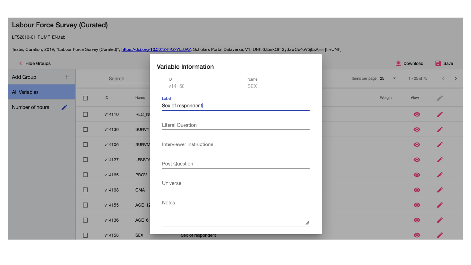#### **Labour Force Survey (Curated)**

LFS2016-01\_PUMF\_EN.tab

Tester, Curation, 2019, "Labour Force Survey (Curated)", https://doi.org/10.5072/FK2/YLJJAY, Scholars Portal Dataverse, V1, UNF:6:EerkQFr2ySzwCu4oV5jExA== [fileUNF]

| K Hide Groups        |                      |        |        |               | Variable Information     |            |                                                 | $\overline{\phantom{a}}$ Download | <b>B</b> Save           |  |
|----------------------|----------------------|--------|--------|---------------|--------------------------|------------|-------------------------------------------------|-----------------------------------|-------------------------|--|
| Add Group            | $+$                  |        | Search |               | ID                       | Name       | Items per page: 25<br>$\boldsymbol{\mathrm{v}}$ | 1 - 25 of 75                      | $\langle \quad \rangle$ |  |
| <b>All Variables</b> |                      | $\Box$ | ID     | Name          | v14158<br>Label          | <b>SEX</b> | Weight                                          | View                              | ℐ                       |  |
| Number of hours      | $\overrightarrow{r}$ |        |        |               | Sex of respondent        |            |                                                 |                                   |                         |  |
|                      |                      | $\Box$ | v14110 | REC_N         |                          |            |                                                 | $\bullet$                         |                         |  |
|                      |                      | $\Box$ | v14130 | <b>SURVY</b>  | <b>Literal Question</b>  |            |                                                 | $\bullet$                         |                         |  |
|                      |                      | $\Box$ | v14106 | <b>SURVM</b>  | Interviewer Instructions |            |                                                 | $\bullet$                         |                         |  |
|                      |                      | $\Box$ | v14127 | <b>LFSSTA</b> | Post Question            |            |                                                 | $\bullet$                         |                         |  |
|                      |                      | $\Box$ | v14165 | <b>PROV</b>   |                          |            |                                                 | $\bullet$                         |                         |  |
|                      |                      | $\Box$ | v14168 | CMA           | Universe                 |            |                                                 | $\bullet$                         |                         |  |
|                      |                      | $\Box$ | v14155 | $AGE_1$       | Notes                    |            |                                                 | $\bullet$                         |                         |  |
|                      |                      | $\Box$ | v14136 | $AGE_6$       |                          | /h.        |                                                 | $\bullet$                         |                         |  |
|                      |                      | $\Box$ | v14158 | <b>SEX</b>    | Sex of respondent        |            |                                                 | $\bullet$                         |                         |  |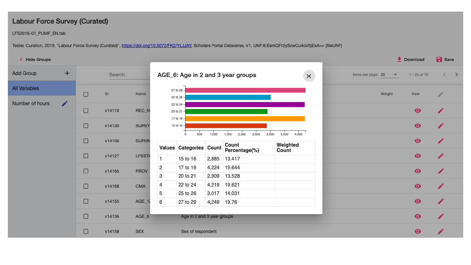#### **Labour Force Survey (Curated)**

LFS2016-01\_PUMF\_EN.tab

Tester, Curation, 2019, "Labour Force Survey (Curated)", https://doi.org/10.5072/FK2/YLJJAY, Scholars Portal Dataverse, V1, UNF:6:EerkQFr2ySzwCu4oV5jExA== [fileUNF]

| K Hide Groups        |                      |        |        |               |   |                            |       |                                           |                            |                    |                          |              | Download  | <b>B</b> Save |  |
|----------------------|----------------------|--------|--------|---------------|---|----------------------------|-------|-------------------------------------------|----------------------------|--------------------|--------------------------|--------------|-----------|---------------|--|
| Add Group            | $\pm$                |        | Search |               |   |                            |       | AGE_6: Age in 2 and 3 year groups         | $\times$                   | Items per page: 25 | $\overline{\phantom{a}}$ | 1 - 25 of 75 |           |               |  |
| <b>All Variables</b> |                      | $\Box$ | ID     | Name          |   | 27 to 29 -                 |       |                                           |                            |                    |                          | Weight       | View      |               |  |
| Number of hours      | $\overrightarrow{r}$ |        |        |               |   | 25 to 26 -<br>22 to 24 -   |       |                                           |                            |                    |                          |              |           |               |  |
|                      |                      | $\Box$ | v14110 | REC_N         |   | 20 to 21 -<br>17 to 19 -   |       |                                           |                            |                    |                          |              | $\bullet$ |               |  |
|                      |                      | $\Box$ | v14130 | <b>SURVY</b>  |   | 15 to 16 -                 |       |                                           |                            |                    |                          |              | $\bullet$ |               |  |
|                      |                      | $\Box$ | v14106 | <b>SURVM</b>  |   | 500<br>$\Omega$            | 1,000 | 2,500<br>2,000<br>1,500<br>3,000<br>Count | 4,000<br>3,500<br>Weighted |                    |                          |              | $\bullet$ |               |  |
|                      |                      |        | v14127 | <b>LFSSTA</b> |   | Values Categories Count    |       | Percentage(%)                             | Count                      |                    |                          |              |           |               |  |
|                      |                      | $\Box$ |        |               |   | 15 to 16                   | 2,885 | 13.417                                    |                            |                    |                          |              | $\bullet$ |               |  |
|                      |                      |        |        | PROV          | 2 | 17 to 19                   | 4,224 | 19.644                                    |                            |                    |                          |              |           |               |  |
|                      |                      | $\Box$ | v14165 |               | 3 | 20 to 21                   | 2,909 | 13.528                                    |                            |                    |                          |              | $\bullet$ |               |  |
|                      |                      | $\Box$ | v14168 | CMA           | 4 | 22 to 24                   | 4,219 | 19.621                                    |                            |                    |                          |              | $\bullet$ |               |  |
|                      |                      |        |        |               | 5 | 25 to 26                   |       | 3,017 14.031                              |                            |                    |                          |              |           |               |  |
|                      |                      | $\Box$ | v14155 | $AGE_1$       | 6 | 27 to 29                   | 4,249 | 19.76                                     |                            |                    |                          |              | $\bullet$ |               |  |
|                      |                      | $\Box$ | v14136 | $AGE_6$       |   | Age in 2 and 3 year groups |       |                                           |                            |                    |                          |              | $\bullet$ |               |  |
|                      |                      | $\Box$ | v14158 | <b>SEX</b>    |   | Sex of respondent          |       |                                           |                            |                    |                          |              | $\bullet$ |               |  |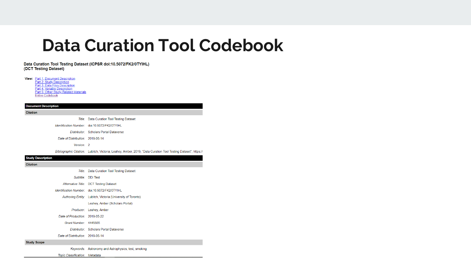### **Data Curation Tool Codebook**

Data Curation Tool Testing Dataset (ICPSR doi:10.5072/FK2/0TYIHL) (DCT Testing Dataset)

View: Part 1: Document Description Part 2: Study Description Part 3: Data Files Description Part 4: Variable Description<br>Part 5: Other Study-Related Materials Entire Codebook

#### **Document Description**

Citation

Title: Data Curation Tool Testing Dataset

Identification Number: doi:10.5072/FK2/0TYIHL

Distributor: Scholars Portal Dataverse

Date of Distribution: 2019-06-14

Version: 2

Bibliographic Citation: Lubitch, Victoria: Leahey, Amber, 2019, "Data Curation Tool Testing Dataset", https://

**Study Description** 

Citation

Title: Data Curation Tool Testing Dataset

Subtitle: DDI Test

Alternative Title: DCT Testing Dataset

Identification Number: doi:10.5072/FK2/0TYIHL

Authoring Entity: Lubitch, Victoria (University of Toronto)

Leahey, Amber (Scholars Portal)

Producer: Leahey, Amber

Date of Production: 2019-05-22

Grant Number: 4445555

Distributor: Scholars Portal Dataverse

Date of Distribution: 2019-06-14

#### **Study Scope**

Keywords: Astronomy and Astrophysics, test, smoking

Topic Classification: Metadata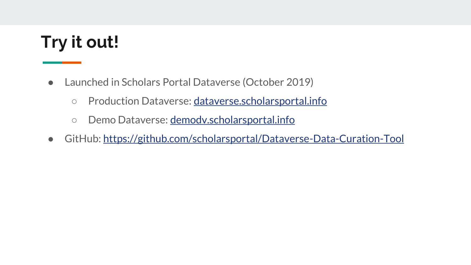# **Try it out!**

- Launched in Scholars Portal Dataverse (October 2019)
	- Production Dataverse: [dataverse.scholarsportal.info](http://dataverse.scholarsportal.info)
	- Demo Dataverse: demody.scholarsportal.info
- GitHub: <https://github.com/scholarsportal/Dataverse-Data-Curation-Tool>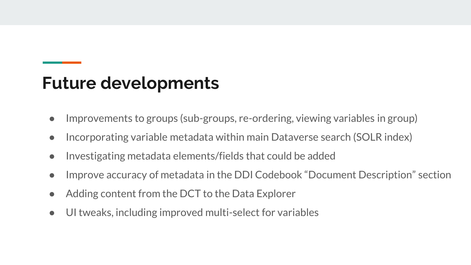# **Future developments**

- Improvements to groups (sub-groups, re-ordering, viewing variables in group)
- Incorporating variable metadata within main Dataverse search (SOLR index)
- Investigating metadata elements/fields that could be added
- Improve accuracy of metadata in the DDI Codebook "Document Description" section
- Adding content from the DCT to the Data Explorer
- UI tweaks, including improved multi-select for variables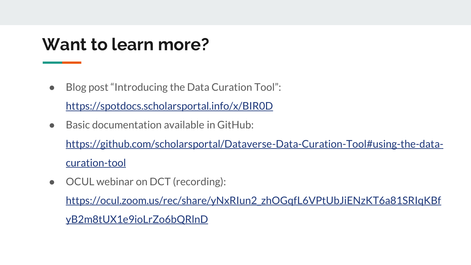## **Want to learn more?**

● Blog post "Introducing the Data Curation Tool":

<https://spotdocs.scholarsportal.info/x/BIR0D>

● Basic documentation available in GitHub:

[https://github.com/scholarsportal/Dataverse-Data-Curation-Tool#using-the-data](https://github.com/scholarsportal/Dataverse-Data-Curation-Tool#using-the-data-curation-tool)curation-tool

● OCUL webinar on DCT (recording):

[https://ocul.zoom.us/rec/share/yNxRIun2\\_zhOGqfL6VPtUbJiENzKT6a81SRIqKBf](https://ocul.zoom.us/rec/share/yNxRIun2_zhOGqfL6VPtUbJiENzKT6a81SRIqKBfyB2m8tUX1e9ioLrZo6bQRlnD)

yB2m8tUX1e9ioLrZo6bQRlnD